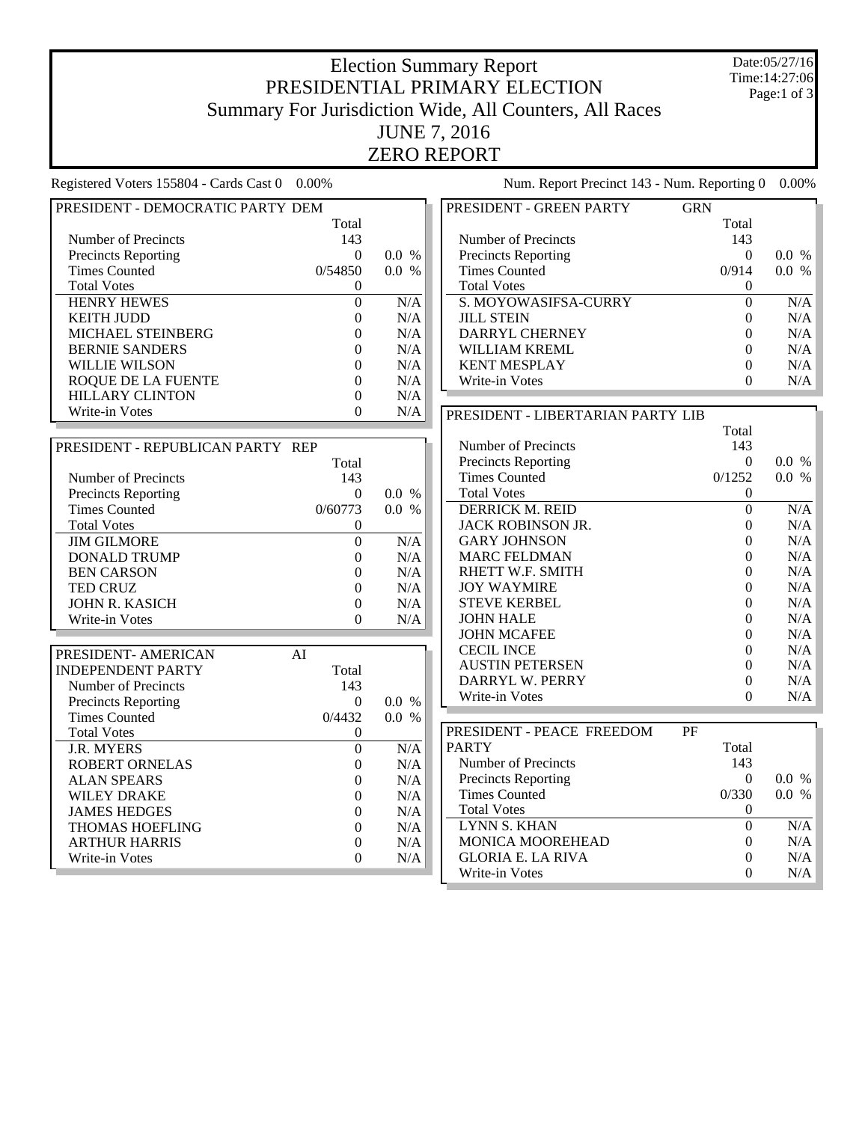## Election Summary Report PRESIDENTIAL PRIMARY ELECTION Summary For Jurisdiction Wide, All Counters, All Races JUNE 7, 2016 ZERO REPORT

Date:05/27/16 Time:14:27:06 Page:1 of 3

| Registered Voters 155804 - Cards Cast 0 0.00% |                  |       | Num. Report Precinct 143 - Num. Reporting 0 |                  | $0.00\%$  |
|-----------------------------------------------|------------------|-------|---------------------------------------------|------------------|-----------|
| PRESIDENT - DEMOCRATIC PARTY DEM              |                  |       | PRESIDENT - GREEN PARTY                     | <b>GRN</b>       |           |
|                                               | Total            |       |                                             | Total            |           |
| Number of Precincts                           | 143              |       | Number of Precincts                         | 143              |           |
| <b>Precincts Reporting</b>                    | $\Omega$         | 0.0 % | <b>Precincts Reporting</b>                  | $\Omega$         | 0.0 %     |
| <b>Times Counted</b>                          | 0/54850          | 0.0 % | <b>Times Counted</b>                        | 0/914            | 0.0 %     |
| <b>Total Votes</b>                            | $\Omega$         |       | <b>Total Votes</b>                          | $\Omega$         |           |
| <b>HENRY HEWES</b>                            | $\boldsymbol{0}$ | N/A   | S. MOYOWASIFSA-CURRY                        | $\mathbf{0}$     | $\rm N/A$ |
| <b>KEITH JUDD</b>                             | $\overline{0}$   | N/A   | <b>JILL STEIN</b>                           | $\boldsymbol{0}$ | N/A       |
| MICHAEL STEINBERG                             | $\Omega$         | N/A   | DARRYL CHERNEY                              | $\theta$         | N/A       |
| <b>BERNIE SANDERS</b>                         | $\boldsymbol{0}$ | N/A   | WILLIAM KREML                               | $\boldsymbol{0}$ | N/A       |
| <b>WILLIE WILSON</b>                          | $\theta$         | N/A   | <b>KENT MESPLAY</b>                         | $\boldsymbol{0}$ | N/A       |
| ROQUE DE LA FUENTE                            | $\Omega$         | N/A   | Write-in Votes                              | $\Omega$         | N/A       |
| <b>HILLARY CLINTON</b>                        | $\boldsymbol{0}$ | N/A   |                                             |                  |           |
| Write-in Votes                                | $\Omega$         | N/A   | PRESIDENT - LIBERTARIAN PARTY LIB           |                  |           |
|                                               |                  |       |                                             | Total            |           |
| PRESIDENT - REPUBLICAN PARTY REP              |                  |       | Number of Precincts                         | 143              |           |
|                                               | Total            |       | <b>Precincts Reporting</b>                  | $\Omega$         | 0.0 %     |
| Number of Precincts                           | 143              |       | <b>Times Counted</b>                        | 0/1252           | 0.0 %     |
| <b>Precincts Reporting</b>                    | $\boldsymbol{0}$ | 0.0 % | <b>Total Votes</b>                          | $\boldsymbol{0}$ |           |
| <b>Times Counted</b>                          | 0/60773          | 0.0 % | <b>DERRICK M. REID</b>                      | $\overline{0}$   | N/A       |
| <b>Total Votes</b>                            | $\Omega$         |       | JACK ROBINSON JR.                           | $\boldsymbol{0}$ | N/A       |
| <b>JIM GILMORE</b>                            | $\overline{0}$   | N/A   | <b>GARY JOHNSON</b>                         | $\theta$         | N/A       |
| <b>DONALD TRUMP</b>                           | $\Omega$         | N/A   | <b>MARC FELDMAN</b>                         | $\theta$         | N/A       |
| <b>BEN CARSON</b>                             | $\theta$         | N/A   | RHETT W.F. SMITH                            | $\theta$         | N/A       |
| TED CRUZ                                      | $\theta$         | N/A   | <b>JOY WAYMIRE</b>                          | $\Omega$         | $\rm N/A$ |
| JOHN R. KASICH                                | $\mathbf{0}$     | N/A   | <b>STEVE KERBEL</b>                         | $\theta$         | $\rm N/A$ |
| Write-in Votes                                | $\Omega$         | N/A   | <b>JOHN HALE</b>                            | $\Omega$         | $\rm N/A$ |
|                                               |                  |       | <b>JOHN MCAFEE</b>                          | $\overline{0}$   | $\rm N/A$ |
|                                               |                  |       | <b>CECIL INCE</b>                           | $\overline{0}$   | $\rm N/A$ |
| PRESIDENT- AMERICAN                           | AI               |       | <b>AUSTIN PETERSEN</b>                      | $\theta$         | $\rm N/A$ |
| <b>INDEPENDENT PARTY</b>                      | Total            |       | DARRYL W. PERRY                             | $\boldsymbol{0}$ | N/A       |
| Number of Precincts                           | 143              |       | Write-in Votes                              | $\theta$         | $\rm N/A$ |
| <b>Precincts Reporting</b>                    | $\mathbf{0}$     | 0.0 % |                                             |                  |           |
| <b>Times Counted</b>                          | 0/4432           | 0.0 % |                                             |                  |           |
| <b>Total Votes</b>                            | $\overline{0}$   |       | PRESIDENT - PEACE FREEDOM                   | $\rm PF$         |           |
| <b>J.R. MYERS</b>                             | $\boldsymbol{0}$ | N/A   | <b>PARTY</b>                                | Total            |           |
| <b>ROBERT ORNELAS</b>                         | $\overline{0}$   | N/A   | Number of Precincts                         | 143              |           |
| <b>ALAN SPEARS</b>                            | $\theta$         | N/A   | <b>Precincts Reporting</b>                  | $\mathbf{0}$     | 0.0 %     |
| <b>WILEY DRAKE</b>                            | $\Omega$         | N/A   | <b>Times Counted</b>                        | 0/330            | 0.0 %     |
| <b>JAMES HEDGES</b>                           | $\overline{0}$   | N/A   | <b>Total Votes</b>                          | $\mathbf{0}$     |           |
| <b>THOMAS HOEFLING</b>                        | $\Omega$         | N/A   | <b>LYNN S. KHAN</b>                         | $\mathbf{0}$     | N/A       |
| <b>ARTHUR HARRIS</b>                          | $\boldsymbol{0}$ | N/A   | MONICA MOOREHEAD                            | $\theta$         | N/A       |
| Write-in Votes                                | $\theta$         | N/A   | <b>GLORIA E. LA RIVA</b>                    | $\overline{0}$   | N/A       |
|                                               |                  |       | Write-in Votes                              | $\theta$         | $\rm N/A$ |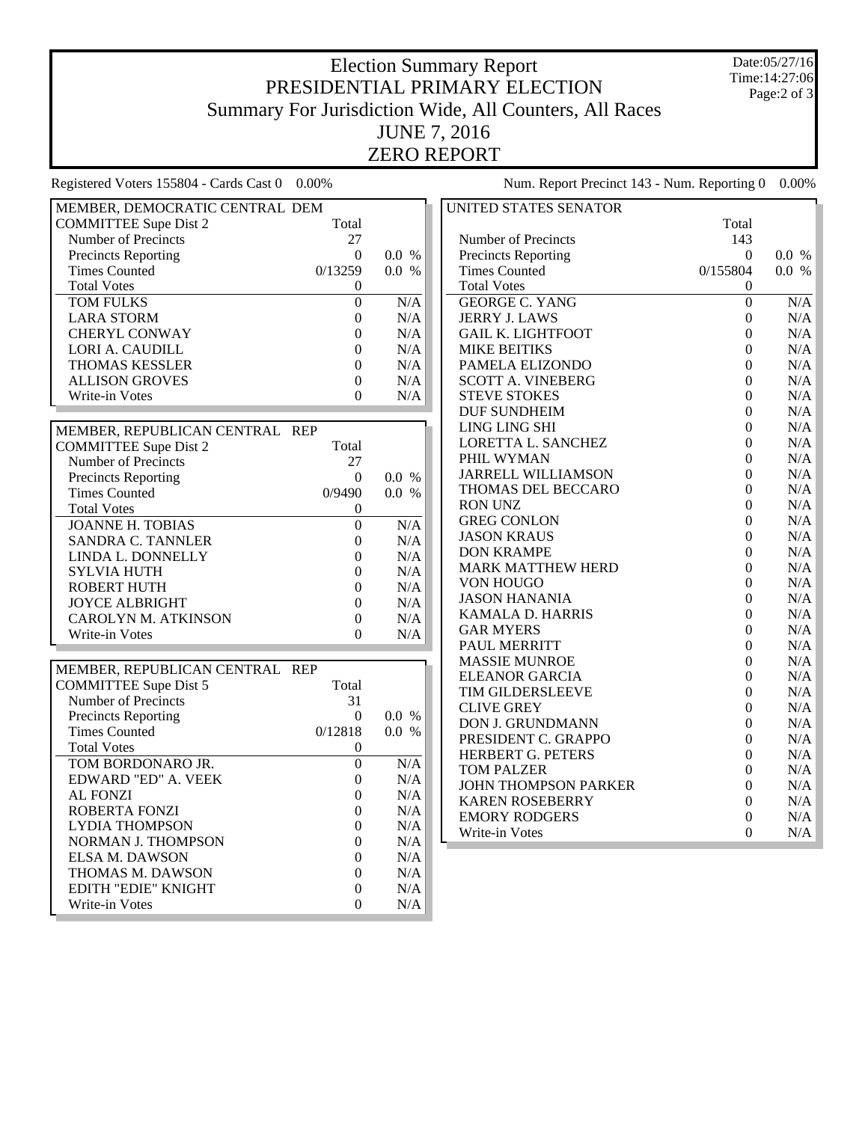## Election Summary Report PRESIDENTIAL PRIMARY ELECTION Summary For Jurisdiction Wide, All Counters, All Races JUNE 7, 2016 ZERO REPORT

Date:05/27/16 Time:14:27:06 Page:2 of 3

Registered Voters 155804 - Cards Cast 0 0.00% Num. Report Precinct 143 - Num. Reporting 0 0.00%

| MEMBER, DEMOCRATIC CENTRAL DEM |                  |           | UNITED STATES SENATOR       |                  |           |
|--------------------------------|------------------|-----------|-----------------------------|------------------|-----------|
| <b>COMMITTEE Supe Dist 2</b>   | Total            |           |                             | Total            |           |
| Number of Precincts            | 27               |           | Number of Precincts         | 143              |           |
| <b>Precincts Reporting</b>     | $\Omega$         | 0.0 %     | <b>Precincts Reporting</b>  | $\theta$         | 0.0 %     |
| <b>Times Counted</b>           | 0/13259          | 0.0 %     | <b>Times Counted</b>        | 0/155804         | 0.0 %     |
| <b>Total Votes</b>             | $\boldsymbol{0}$ |           | <b>Total Votes</b>          | $\boldsymbol{0}$ |           |
| <b>TOM FULKS</b>               | $\overline{0}$   | N/A       | <b>GEORGE C. YANG</b>       | $\overline{0}$   | N/A       |
| <b>LARA STORM</b>              | $\boldsymbol{0}$ | N/A       | <b>JERRY J. LAWS</b>        | $\boldsymbol{0}$ | N/A       |
| <b>CHERYL CONWAY</b>           | $\boldsymbol{0}$ | N/A       | <b>GAIL K. LIGHTFOOT</b>    | $\boldsymbol{0}$ | N/A       |
| LORI A. CAUDILL                | $\boldsymbol{0}$ | N/A       | <b>MIKE BEITIKS</b>         | $\boldsymbol{0}$ | N/A       |
| <b>THOMAS KESSLER</b>          | $\theta$         | N/A       | PAMELA ELIZONDO             | $\theta$         | N/A       |
| <b>ALLISON GROVES</b>          | $\boldsymbol{0}$ | N/A       | <b>SCOTT A. VINEBERG</b>    | $\boldsymbol{0}$ | N/A       |
| Write-in Votes                 | $\Omega$         | N/A       | <b>STEVE STOKES</b>         | $\boldsymbol{0}$ | N/A       |
|                                |                  |           | <b>DUF SUNDHEIM</b>         | $\theta$         | N/A       |
| MEMBER, REPUBLICAN CENTRAL REP |                  |           | LING LING SHI               | $\boldsymbol{0}$ | N/A       |
| <b>COMMITTEE Supe Dist 2</b>   | Total            |           | LORETTA L. SANCHEZ          | $\theta$         | N/A       |
| Number of Precincts            | 27               |           | PHIL WYMAN                  | $\Omega$         | N/A       |
| <b>Precincts Reporting</b>     | $\boldsymbol{0}$ | 0.0 %     | <b>JARRELL WILLIAMSON</b>   | $\boldsymbol{0}$ | N/A       |
| <b>Times Counted</b>           | 0/9490           | 0.0 %     | THOMAS DEL BECCARO          | $\overline{0}$   | N/A       |
| <b>Total Votes</b>             | $\mathbf{0}$     |           | <b>RON UNZ</b>              | $\Omega$         | $\rm N/A$ |
| <b>JOANNE H. TOBIAS</b>        | $\overline{0}$   | N/A       | <b>GREG CONLON</b>          | $\theta$         | N/A       |
| <b>SANDRA C. TANNLER</b>       | $\boldsymbol{0}$ | N/A       | <b>JASON KRAUS</b>          | $\overline{0}$   | N/A       |
| LINDA L. DONNELLY              | $\overline{0}$   | N/A       | <b>DON KRAMPE</b>           | $\overline{0}$   | N/A       |
| <b>SYLVIA HUTH</b>             | $\boldsymbol{0}$ | N/A       | <b>MARK MATTHEW HERD</b>    | $\theta$         | N/A       |
| <b>ROBERT HUTH</b>             | $\overline{0}$   | $\rm N/A$ | VON HOUGO                   | $\overline{0}$   | N/A       |
| <b>JOYCE ALBRIGHT</b>          | $\overline{0}$   | N/A       | <b>JASON HANANIA</b>        | $\overline{0}$   | N/A       |
| CAROLYN M. ATKINSON            | $\boldsymbol{0}$ | $\rm N/A$ | KAMALA D. HARRIS            | $\overline{0}$   | N/A       |
| Write-in Votes                 | $\overline{0}$   | $\rm N/A$ | <b>GAR MYERS</b>            | $\theta$         | N/A       |
|                                |                  |           | PAUL MERRITT                | $\boldsymbol{0}$ | N/A       |
| MEMBER, REPUBLICAN CENTRAL REP |                  |           | <b>MASSIE MUNROE</b>        | $\boldsymbol{0}$ | N/A       |
| <b>COMMITTEE Supe Dist 5</b>   | Total            |           | <b>ELEANOR GARCIA</b>       | $\boldsymbol{0}$ | N/A       |
| Number of Precincts            | 31               |           | TIM GILDERSLEEVE            | $\boldsymbol{0}$ | N/A       |
| <b>Precincts Reporting</b>     | $\overline{0}$   | 0.0 %     | <b>CLIVE GREY</b>           | $\boldsymbol{0}$ | N/A       |
| <b>Times Counted</b>           | 0/12818          | 0.0 %     | DON J. GRUNDMANN            | $\boldsymbol{0}$ | N/A       |
| <b>Total Votes</b>             | $\mathbf{0}$     |           | PRESIDENT C. GRAPPO         | $\theta$         | N/A       |
| TOM BORDONARO JR.              | $\overline{0}$   | N/A       | HERBERT G. PETERS           | $\theta$         | N/A       |
| EDWARD "ED" A. VEEK            | $\mathbf{0}$     | N/A       | <b>TOM PALZER</b>           | $\boldsymbol{0}$ | N/A       |
| <b>AL FONZI</b>                | $\boldsymbol{0}$ | N/A       | <b>JOHN THOMPSON PARKER</b> | $\boldsymbol{0}$ | N/A       |
| ROBERTA FONZI                  | $\theta$         | N/A       | <b>KAREN ROSEBERRY</b>      | $\Omega$         | N/A       |
| <b>LYDIA THOMPSON</b>          | $\boldsymbol{0}$ | N/A       | <b>EMORY RODGERS</b>        | $\boldsymbol{0}$ | N/A       |
| NORMAN J. THOMPSON             | $\boldsymbol{0}$ | N/A       | Write-in Votes              | $\theta$         | $\rm N/A$ |
| <b>ELSA M. DAWSON</b>          | $\theta$         | N/A       |                             |                  |           |
| THOMAS M. DAWSON               | $\boldsymbol{0}$ | N/A       |                             |                  |           |
| EDITH "EDIE" KNIGHT            | $\boldsymbol{0}$ | N/A       |                             |                  |           |
| Write-in Votes                 | $\theta$         | N/A       |                             |                  |           |